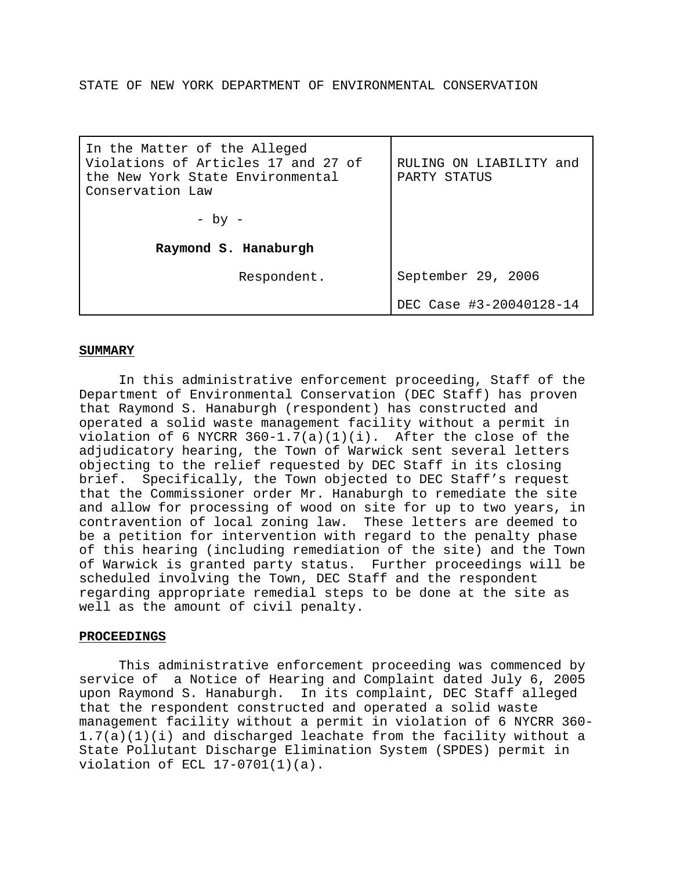STATE OF NEW YORK DEPARTMENT OF ENVIRONMENTAL CONSERVATION

| In the Matter of the Alleged<br>Violations of Articles 17 and 27 of<br>the New York State Environmental<br>Conservation Law | RULING ON LIABILITY<br>and<br>PARTY STATUS |
|-----------------------------------------------------------------------------------------------------------------------------|--------------------------------------------|
| - by -                                                                                                                      |                                            |
| Raymond S. Hanaburgh                                                                                                        |                                            |
| Respondent.                                                                                                                 | September 29, 2006                         |
|                                                                                                                             | DEC Case #3-20040128-14                    |

# **SUMMARY**

In this administrative enforcement proceeding, Staff of the Department of Environmental Conservation (DEC Staff) has proven that Raymond S. Hanaburgh (respondent) has constructed and operated a solid waste management facility without a permit in violation of 6 NYCRR  $360-1.7(a)(1)(i)$ . After the close of the adjudicatory hearing, the Town of Warwick sent several letters objecting to the relief requested by DEC Staff in its closing brief. Specifically, the Town objected to DEC Staff's request that the Commissioner order Mr. Hanaburgh to remediate the site and allow for processing of wood on site for up to two years, in contravention of local zoning law. These letters are deemed to be a petition for intervention with regard to the penalty phase of this hearing (including remediation of the site) and the Town of Warwick is granted party status. Further proceedings will be scheduled involving the Town, DEC Staff and the respondent regarding appropriate remedial steps to be done at the site as well as the amount of civil penalty.

## **PROCEEDINGS**

This administrative enforcement proceeding was commenced by service of a Notice of Hearing and Complaint dated July 6, 2005 upon Raymond S. Hanaburgh. In its complaint, DEC Staff alleged that the respondent constructed and operated a solid waste management facility without a permit in violation of 6 NYCRR 360- 1.7(a)(1)(i) and discharged leachate from the facility without a State Pollutant Discharge Elimination System (SPDES) permit in violation of ECL 17-0701(1)(a).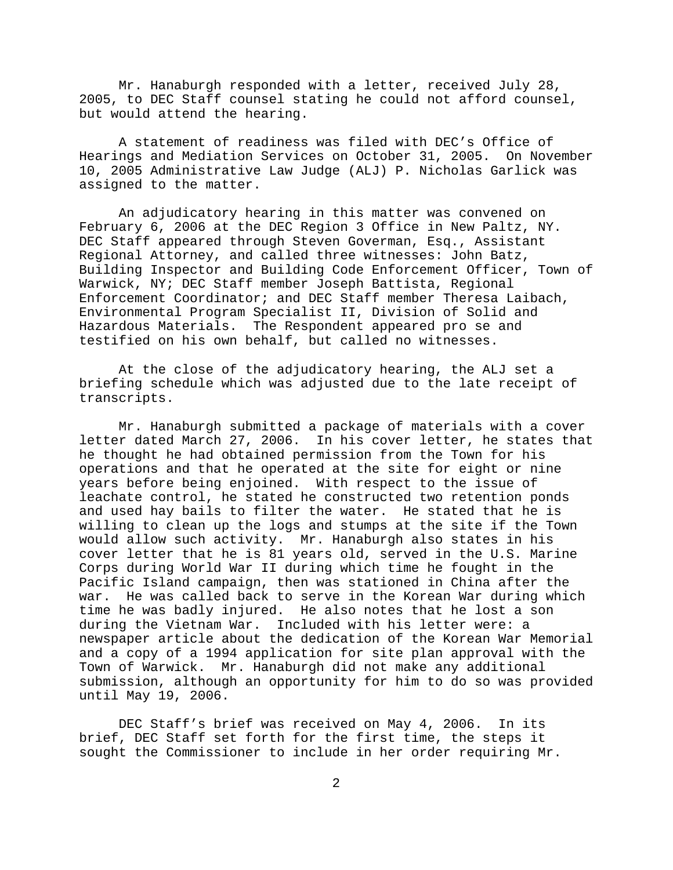Mr. Hanaburgh responded with a letter, received July 28, 2005, to DEC Staff counsel stating he could not afford counsel, but would attend the hearing.

A statement of readiness was filed with DEC's Office of Hearings and Mediation Services on October 31, 2005. On November 10, 2005 Administrative Law Judge (ALJ) P. Nicholas Garlick was assigned to the matter.

An adjudicatory hearing in this matter was convened on February 6, 2006 at the DEC Region 3 Office in New Paltz, NY. DEC Staff appeared through Steven Goverman, Esq., Assistant Regional Attorney, and called three witnesses: John Batz, Building Inspector and Building Code Enforcement Officer, Town of Warwick, NY; DEC Staff member Joseph Battista, Regional Enforcement Coordinator; and DEC Staff member Theresa Laibach, Environmental Program Specialist II, Division of Solid and Hazardous Materials. The Respondent appeared pro se and testified on his own behalf, but called no witnesses.

At the close of the adjudicatory hearing, the ALJ set a briefing schedule which was adjusted due to the late receipt of transcripts.

Mr. Hanaburgh submitted a package of materials with a cover letter dated March 27, 2006. In his cover letter, he states that he thought he had obtained permission from the Town for his operations and that he operated at the site for eight or nine years before being enjoined. With respect to the issue of leachate control, he stated he constructed two retention ponds and used hay bails to filter the water. He stated that he is willing to clean up the logs and stumps at the site if the Town would allow such activity. Mr. Hanaburgh also states in his cover letter that he is 81 years old, served in the U.S. Marine Corps during World War II during which time he fought in the Pacific Island campaign, then was stationed in China after the war. He was called back to serve in the Korean War during which time he was badly injured. He also notes that he lost a son during the Vietnam War. Included with his letter were: a newspaper article about the dedication of the Korean War Memorial and a copy of a 1994 application for site plan approval with the Town of Warwick. Mr. Hanaburgh did not make any additional submission, although an opportunity for him to do so was provided until May 19, 2006.

DEC Staff's brief was received on May 4, 2006. In its brief, DEC Staff set forth for the first time, the steps it sought the Commissioner to include in her order requiring Mr.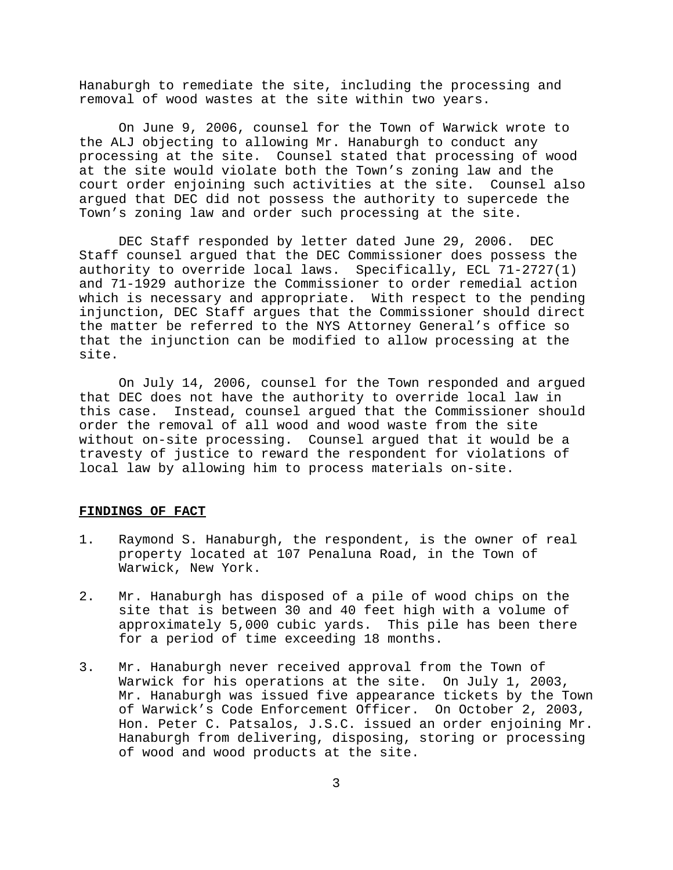Hanaburgh to remediate the site, including the processing and removal of wood wastes at the site within two years.

On June 9, 2006, counsel for the Town of Warwick wrote to the ALJ objecting to allowing Mr. Hanaburgh to conduct any processing at the site. Counsel stated that processing of wood at the site would violate both the Town's zoning law and the court order enjoining such activities at the site. Counsel also argued that DEC did not possess the authority to supercede the Town's zoning law and order such processing at the site.

DEC Staff responded by letter dated June 29, 2006. DEC Staff counsel argued that the DEC Commissioner does possess the authority to override local laws. Specifically, ECL 71-2727(1) and 71-1929 authorize the Commissioner to order remedial action which is necessary and appropriate. With respect to the pending injunction, DEC Staff argues that the Commissioner should direct the matter be referred to the NYS Attorney General's office so that the injunction can be modified to allow processing at the site.

On July 14, 2006, counsel for the Town responded and argued that DEC does not have the authority to override local law in this case. Instead, counsel argued that the Commissioner should order the removal of all wood and wood waste from the site without on-site processing. Counsel argued that it would be a travesty of justice to reward the respondent for violations of local law by allowing him to process materials on-site.

## **FINDINGS OF FACT**

- 1. Raymond S. Hanaburgh, the respondent, is the owner of real property located at 107 Penaluna Road, in the Town of Warwick, New York.
- 2. Mr. Hanaburgh has disposed of a pile of wood chips on the site that is between 30 and 40 feet high with a volume of approximately 5,000 cubic yards. This pile has been there for a period of time exceeding 18 months.
- 3. Mr. Hanaburgh never received approval from the Town of Warwick for his operations at the site. On July 1, 2003, Mr. Hanaburgh was issued five appearance tickets by the Town of Warwick's Code Enforcement Officer. On October 2, 2003, Hon. Peter C. Patsalos, J.S.C. issued an order enjoining Mr. Hanaburgh from delivering, disposing, storing or processing of wood and wood products at the site.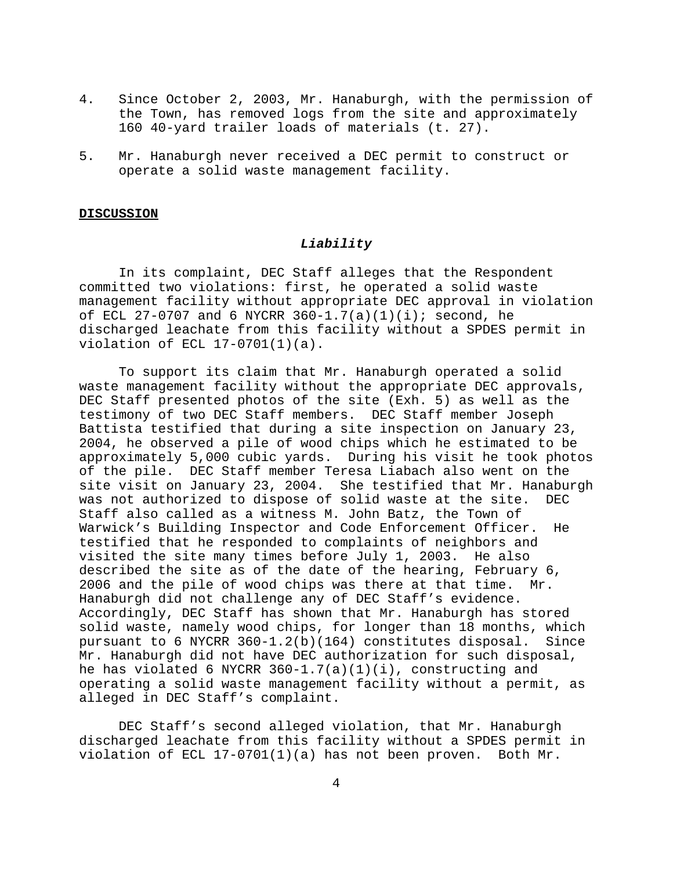- 4. Since October 2, 2003, Mr. Hanaburgh, with the permission of the Town, has removed logs from the site and approximately 160 40-yard trailer loads of materials (t. 27).
- 5. Mr. Hanaburgh never received a DEC permit to construct or operate a solid waste management facility.

#### **DISCUSSION**

## *Liability*

In its complaint, DEC Staff alleges that the Respondent committed two violations: first, he operated a solid waste management facility without appropriate DEC approval in violation of ECL 27-0707 and 6 NYCRR  $360-1.7(a)(1)(i)$ ; second, he discharged leachate from this facility without a SPDES permit in violation of ECL 17-0701(1)(a).

To support its claim that Mr. Hanaburgh operated a solid waste management facility without the appropriate DEC approvals, DEC Staff presented photos of the site (Exh. 5) as well as the testimony of two DEC Staff members. DEC Staff member Joseph Battista testified that during a site inspection on January 23, 2004, he observed a pile of wood chips which he estimated to be approximately 5,000 cubic yards. During his visit he took photos of the pile. DEC Staff member Teresa Liabach also went on the site visit on January 23, 2004. She testified that Mr. Hanaburgh was not authorized to dispose of solid waste at the site. DEC Staff also called as a witness M. John Batz, the Town of Warwick's Building Inspector and Code Enforcement Officer. He testified that he responded to complaints of neighbors and visited the site many times before July 1, 2003. He also described the site as of the date of the hearing, February 6, 2006 and the pile of wood chips was there at that time. Mr. Hanaburgh did not challenge any of DEC Staff's evidence. Accordingly, DEC Staff has shown that Mr. Hanaburgh has stored solid waste, namely wood chips, for longer than 18 months, which pursuant to 6 NYCRR 360-1.2(b)(164) constitutes disposal. Since Mr. Hanaburgh did not have DEC authorization for such disposal, he has violated 6 NYCRR 360-1.7(a)(1)(i), constructing and operating a solid waste management facility without a permit, as alleged in DEC Staff's complaint.

DEC Staff's second alleged violation, that Mr. Hanaburgh discharged leachate from this facility without a SPDES permit in violation of ECL 17-0701(1)(a) has not been proven. Both Mr.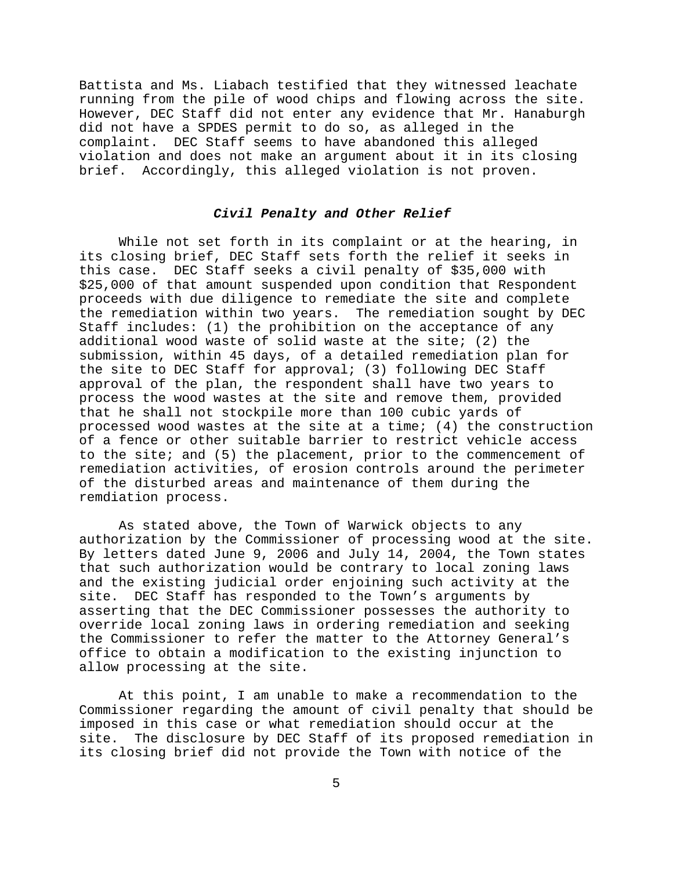Battista and Ms. Liabach testified that they witnessed leachate running from the pile of wood chips and flowing across the site. However, DEC Staff did not enter any evidence that Mr. Hanaburgh did not have a SPDES permit to do so, as alleged in the complaint. DEC Staff seems to have abandoned this alleged violation and does not make an argument about it in its closing brief. Accordingly, this alleged violation is not proven.

# *Civil Penalty and Other Relief*

While not set forth in its complaint or at the hearing, in its closing brief, DEC Staff sets forth the relief it seeks in this case. DEC Staff seeks a civil penalty of \$35,000 with \$25,000 of that amount suspended upon condition that Respondent proceeds with due diligence to remediate the site and complete the remediation within two years. The remediation sought by DEC Staff includes: (1) the prohibition on the acceptance of any additional wood waste of solid waste at the site; (2) the submission, within 45 days, of a detailed remediation plan for the site to DEC Staff for approval; (3) following DEC Staff approval of the plan, the respondent shall have two years to process the wood wastes at the site and remove them, provided that he shall not stockpile more than 100 cubic yards of processed wood wastes at the site at a time; (4) the construction of a fence or other suitable barrier to restrict vehicle access to the site; and (5) the placement, prior to the commencement of remediation activities, of erosion controls around the perimeter of the disturbed areas and maintenance of them during the remdiation process.

As stated above, the Town of Warwick objects to any authorization by the Commissioner of processing wood at the site. By letters dated June 9, 2006 and July 14, 2004, the Town states that such authorization would be contrary to local zoning laws and the existing judicial order enjoining such activity at the site. DEC Staff has responded to the Town's arguments by asserting that the DEC Commissioner possesses the authority to override local zoning laws in ordering remediation and seeking the Commissioner to refer the matter to the Attorney General's office to obtain a modification to the existing injunction to allow processing at the site.

At this point, I am unable to make a recommendation to the Commissioner regarding the amount of civil penalty that should be imposed in this case or what remediation should occur at the site. The disclosure by DEC Staff of its proposed remediation in its closing brief did not provide the Town with notice of the